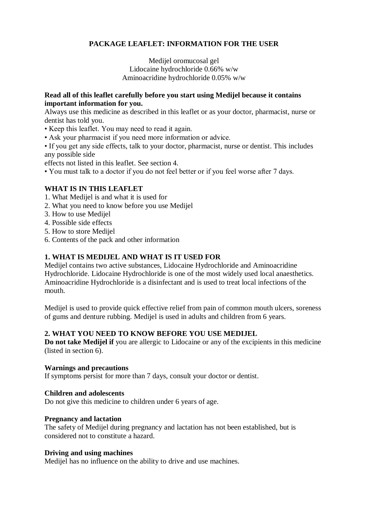# **PACKAGE LEAFLET: INFORMATION FOR THE USER**

Medijel oromucosal gel Lidocaine hydrochloride 0.66% w/w Aminoacridine hydrochloride 0.05% w/w

### **Read all of this leaflet carefully before you start using Medijel because it contains important information for you.**

Always use this medicine as described in this leaflet or as your doctor, pharmacist, nurse or dentist has told you.

- Keep this leaflet. You may need to read it again.
- Ask your pharmacist if you need more information or advice.

• If you get any side effects, talk to your doctor, pharmacist, nurse or dentist. This includes any possible side

effects not listed in this leaflet. See section 4.

• You must talk to a doctor if you do not feel better or if you feel worse after 7 days.

## **WHAT IS IN THIS LEAFLET**

- 1. What Medijel is and what it is used for
- 2. What you need to know before you use Medijel
- 3. How to use Medijel
- 4. Possible side effects
- 5. How to store Medijel
- 6. Contents of the pack and other information

## **1. WHAT IS MEDIJEL AND WHAT IS IT USED FOR**

Medijel contains two active substances, Lidocaine Hydrochloride and Aminoacridine Hydrochloride. Lidocaine Hydrochloride is one of the most widely used local anaesthetics. Aminoacridine Hydrochloride is a disinfectant and is used to treat local infections of the mouth.

Medijel is used to provide quick effective relief from pain of common mouth ulcers, soreness of gums and denture rubbing. Medijel is used in adults and children from 6 years.

## **2. WHAT YOU NEED TO KNOW BEFORE YOU USE MEDIJEL**

**Do not take Medijel if** you are allergic to Lidocaine or any of the excipients in this medicine (listed in section 6).

#### **Warnings and precautions**

If symptoms persist for more than 7 days, consult your doctor or dentist.

#### **Children and adolescents**

Do not give this medicine to children under 6 years of age.

#### **Pregnancy and lactation**

The safety of Medijel during pregnancy and lactation has not been established, but is considered not to constitute a hazard.

#### **Driving and using machines**

Medijel has no influence on the ability to drive and use machines.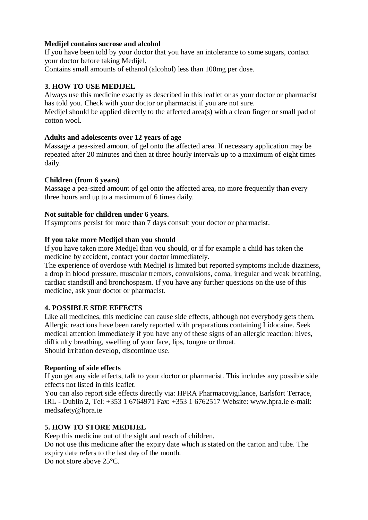### **Medijel contains sucrose and alcohol**

If you have been told by your doctor that you have an intolerance to some sugars, contact your doctor before taking Medijel.

Contains small amounts of ethanol (alcohol) less than 100mg per dose.

### **3. HOW TO USE MEDIJEL**

Always use this medicine exactly as described in this leaflet or as your doctor or pharmacist has told you. Check with your doctor or pharmacist if you are not sure.

Medijel should be applied directly to the affected area(s) with a clean finger or small pad of cotton wool.

### **Adults and adolescents over 12 years of age**

Massage a pea-sized amount of gel onto the affected area. If necessary application may be repeated after 20 minutes and then at three hourly intervals up to a maximum of eight times daily.

### **Children (from 6 years)**

Massage a pea-sized amount of gel onto the affected area, no more frequently than every three hours and up to a maximum of 6 times daily.

### **Not suitable for children under 6 years.**

If symptoms persist for more than 7 days consult your doctor or pharmacist.

### **If you take more Medijel than you should**

If you have taken more Medijel than you should, or if for example a child has taken the medicine by accident, contact your doctor immediately.

The experience of overdose with Medijel is limited but reported symptoms include dizziness, a drop in blood pressure, muscular tremors, convulsions, coma, irregular and weak breathing, cardiac standstill and bronchospasm. If you have any further questions on the use of this medicine, ask your doctor or pharmacist.

## **4. POSSIBLE SIDE EFFECTS**

Like all medicines, this medicine can cause side effects, although not everybody gets them. Allergic reactions have been rarely reported with preparations containing Lidocaine. Seek medical attention immediately if you have any of these signs of an allergic reaction: hives, difficulty breathing, swelling of your face, lips, tongue or throat. Should irritation develop, discontinue use.

#### **Reporting of side effects**

If you get any side effects, talk to your doctor or pharmacist. This includes any possible side effects not listed in this leaflet.

You can also report side effects directly via: HPRA Pharmacovigilance, Earlsfort Terrace, IRL - Dublin 2, Tel: +353 1 6764971 Fax: +353 1 6762517 Website: www.hpra.ie e-mail: [medsafety@hpra.ie](mailto:medsafety@hpra.ie)

## **5. HOW TO STORE MEDIJEL**

Keep this medicine out of the sight and reach of children.

Do not use this medicine after the expiry date which is stated on the carton and tube. The expiry date refers to the last day of the month.

Do not store above 25<sup>o</sup>C.